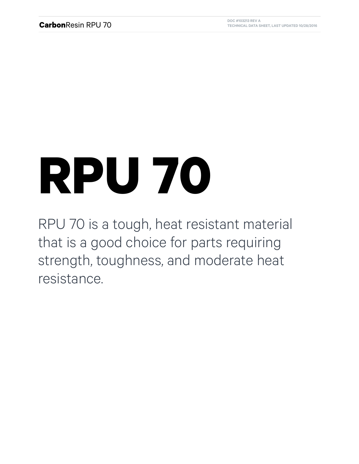## **RPU 70**

RPU 70 is a tough, heat resistant material that is a good choice for parts requiring strength, toughness, and moderate heat resistance.